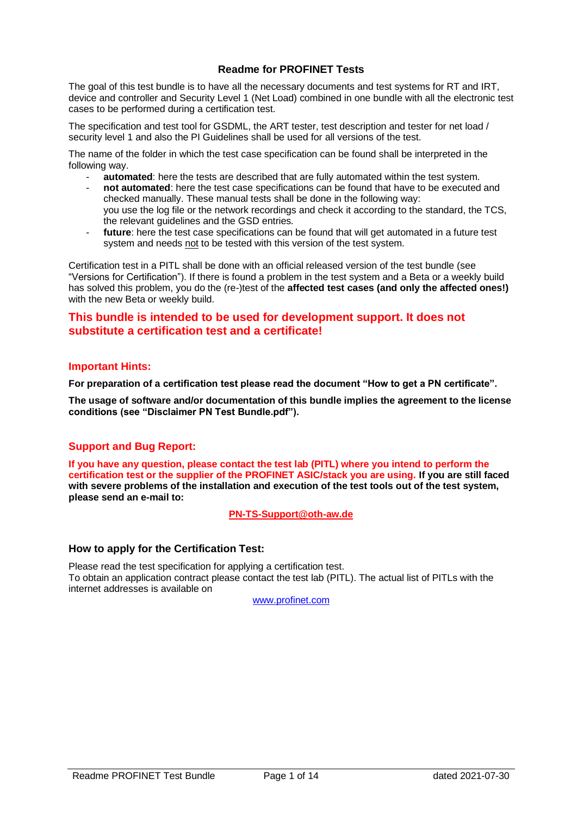# **Readme for PROFINET Tests**

The goal of this test bundle is to have all the necessary documents and test systems for RT and IRT, device and controller and Security Level 1 (Net Load) combined in one bundle with all the electronic test cases to be performed during a certification test.

The specification and test tool for GSDML, the ART tester, test description and tester for net load / security level 1 and also the PI Guidelines shall be used for all versions of the test.

The name of the folder in which the test case specification can be found shall be interpreted in the following way.

- **automated**: here the tests are described that are fully automated within the test system.
- **not automated**: here the test case specifications can be found that have to be executed and checked manually. These manual tests shall be done in the following way: you use the log file or the network recordings and check it according to the standard, the TCS, the relevant guidelines and the GSD entries.
- future: here the test case specifications can be found that will get automated in a future test system and needs not to be tested with this version of the test system.

Certification test in a PITL shall be done with an official released version of the test bundle (see "Versions for Certification"). If there is found a problem in the test system and a Beta or a weekly build has solved this problem, you do the (re-)test of the **affected test cases (and only the affected ones!)** with the new Beta or weekly build.

# **This bundle is intended to be used for development support. It does not substitute a certification test and a certificate!**

### **Important Hints:**

**For preparation of a certification test please read the document "How to get a PN certificate".**

**The usage of software and/or documentation of this bundle implies the agreement to the license conditions (see "Disclaimer PN Test Bundle.pdf").**

# **Support and Bug Report:**

**If you have any question, please contact the test lab (PITL) where you intend to perform the certification test or the supplier of the PROFINET ASIC/stack you are using. If you are still faced with severe problems of the installation and execution of the test tools out of the test system, please send an e-mail to:**

**[PN-TS-Support@oth-aw.de](mailto:PN-TS-Support@oth-aw.de)**

### **How to apply for the Certification Test:**

Please read the test specification for applying a certification test. To obtain an application contract please contact the test lab (PITL). The actual list of PITLs with the internet addresses is available on

[www.profinet.com](http://www.profinet.com/)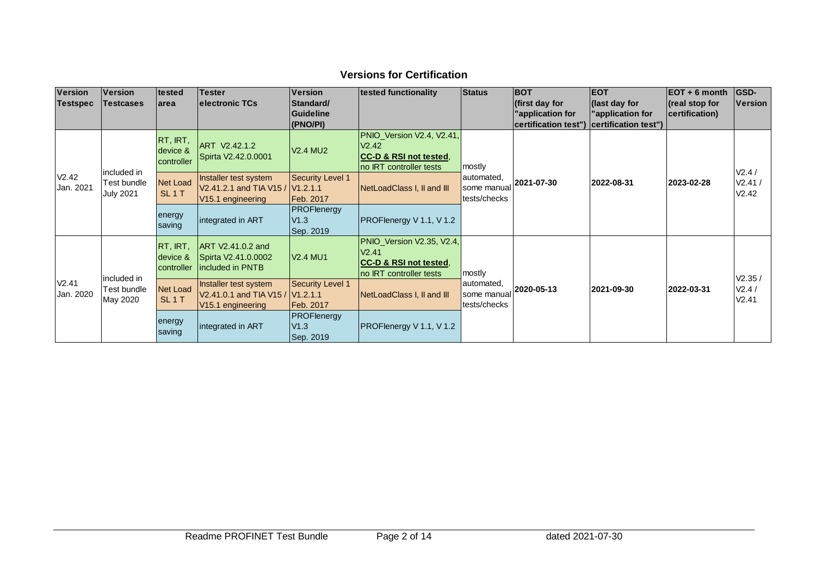# **Versions for Certification**

| <b>Version</b>     | <b>Version</b>                                 | tested                               | <b>Tester</b>                                                                              | <b>Version</b>                          | tested functionality                                                                                           | <b>Status</b>                                                     | <b>BOT</b>                                                | <b>EOT</b>                                                | $EOT + 6$ month                      | <b>GSD-</b>    |
|--------------------|------------------------------------------------|--------------------------------------|--------------------------------------------------------------------------------------------|-----------------------------------------|----------------------------------------------------------------------------------------------------------------|-------------------------------------------------------------------|-----------------------------------------------------------|-----------------------------------------------------------|--------------------------------------|----------------|
| <b>Testspec</b>    | <b>Testcases</b>                               | larea                                | electronic TCs                                                                             | Standard/<br>Guideline<br>(PNO/PI)      |                                                                                                                |                                                                   | (first day for<br>'application for<br>certification test" | (last day for<br>'application for<br>certification test") | $ $ (real stop for<br>certification) | <b>Version</b> |
| V2.42<br>Jan. 2021 | included in<br>Test bundle<br><b>July 2021</b> | RT, IRT,<br>device &<br>controller   | ART V2.42.1.2<br>Spirta V2.42.0.0001                                                       | <b>V2.4 MU2</b>                         | PNIO_Version V2.4, V2.41,<br>V2.42<br><b>CC-D &amp; RSI not tested,</b><br>no IRT controller tests             | mostly<br>automated,<br>2021-07-30<br>some manual<br>tests/checks |                                                           |                                                           |                                      | V2.4/          |
|                    |                                                | <b>Net Load</b><br>SL <sub>1</sub> T | Installer test system<br>V2.41.2.1 and TIA V15 / V1.2.1.1<br>V15.1 engineering             | <b>Security Level 1</b><br>Feb. 2017    | NetLoadClass I, II and III                                                                                     |                                                                   | 2022-08-31                                                | 2023-02-28                                                | V2.41/<br>V2.42                      |                |
|                    |                                                | energy<br>saving                     | integrated in ART                                                                          | <b>PROFlenergy</b><br>V1.3<br>Sep. 2019 | <b>PROFlenergy V 1.1, V 1.2</b>                                                                                |                                                                   |                                                           |                                                           |                                      |                |
| V2.41<br>Jan. 2020 | included in<br>Test bundle<br>May 2020         | RT, IRT.<br>device &<br>controller   | ART V2.41.0.2 and<br>Spirta V2.41.0.0002<br>included in PNTB                               | <b>V2.4 MU1</b>                         | PNIO_Version V2.35, V2.4,<br>V <sub>2.41</sub><br><b>CC-D &amp; RSI not tested.</b><br>no IRT controller tests | mostly                                                            |                                                           |                                                           |                                      | V2.35/         |
|                    |                                                | <b>Net Load</b><br>SL <sub>1</sub> T | Installer test system<br>V2.41.0.1 and TIA V15 / V1.2.1.1<br>V <sub>15.1</sub> engineering | <b>Security Level 1</b><br>Feb. 2017    | NetLoadClass I, II and III                                                                                     | automated,<br>some manual<br>tests/checks                         | 2020-05-13                                                | 2021-09-30                                                | 2022-03-31                           | V2.4/<br>V2.41 |
|                    |                                                | energy<br>saving                     | integrated in ART                                                                          | <b>PROFlenergy</b><br>V1.3<br>Sep. 2019 | PROFlenergy V 1.1, V 1.2                                                                                       |                                                                   |                                                           |                                                           |                                      |                |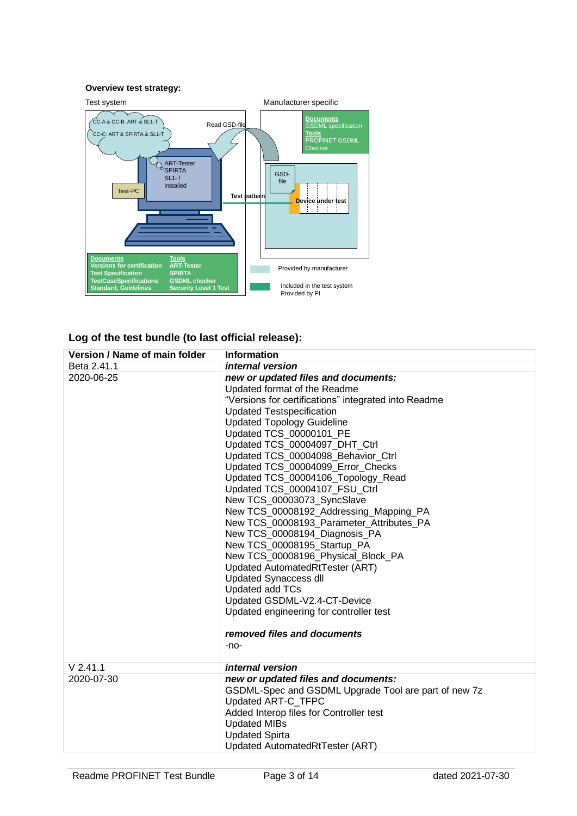#### **Overview test strategy:**



# **Log of the test bundle (to last official release):**

| Version / Name of main folder | <b>Information</b>                                   |
|-------------------------------|------------------------------------------------------|
| Beta 2.41.1                   | internal version                                     |
| 2020-06-25                    | new or updated files and documents:                  |
|                               | Updated format of the Readme                         |
|                               | "Versions for certifications" integrated into Readme |
|                               | <b>Updated Testspecification</b>                     |
|                               | <b>Updated Topology Guideline</b>                    |
|                               | Updated TCS_00000101_PE                              |
|                               | Updated TCS_00004097_DHT_Ctrl                        |
|                               | Updated TCS_00004098_Behavior_Ctrl                   |
|                               | Updated TCS_00004099_Error_Checks                    |
|                               | Updated TCS_00004106_Topology_Read                   |
|                               | Updated TCS 00004107 FSU Ctrl                        |
|                               | New TCS_00003073_SyncSlave                           |
|                               | New TCS_00008192_Addressing_Mapping_PA               |
|                               | New TCS_00008193_Parameter_Attributes_PA             |
|                               | New TCS_00008194_Diagnosis_PA                        |
|                               | New TCS_00008195_Startup_PA                          |
|                               | New TCS_00008196_Physical_Block_PA                   |
|                               | Updated AutomatedRtTester (ART)                      |
|                               | <b>Updated Synaccess dll</b>                         |
|                               | Updated add TCs                                      |
|                               | Updated GSDML-V2.4-CT-Device                         |
|                               | Updated engineering for controller test              |
|                               | removed files and documents                          |
|                               | -no-                                                 |
| $V$ 2.41.1                    | <i>internal</i> version                              |
| 2020-07-30                    | new or updated files and documents:                  |
|                               | GSDML-Spec and GSDML Upgrade Tool are part of new 7z |
|                               | Updated ART-C_TFPC                                   |
|                               | Added Interop files for Controller test              |
|                               | <b>Updated MIBs</b>                                  |
|                               | <b>Updated Spirta</b>                                |
|                               |                                                      |
|                               | Updated AutomatedRtTester (ART)                      |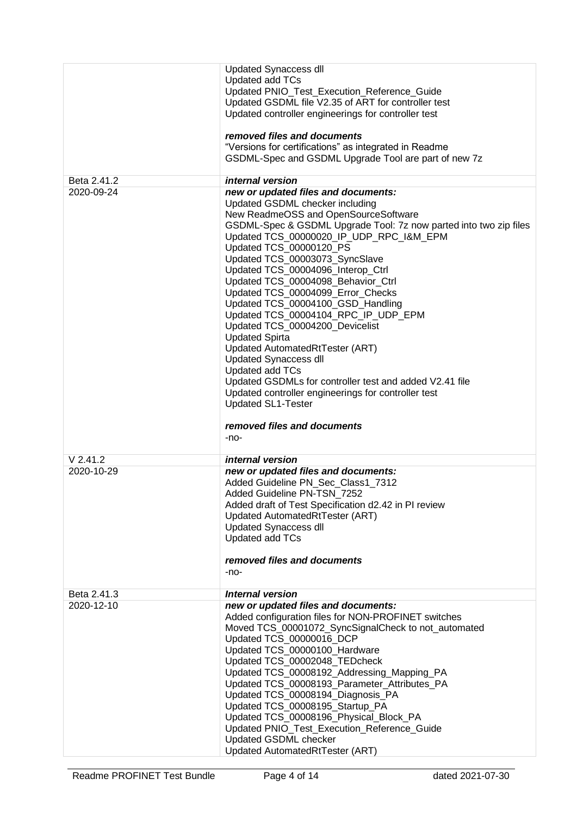|                           | <b>Updated Synaccess dll</b>                                            |
|---------------------------|-------------------------------------------------------------------------|
|                           | Updated add TCs                                                         |
|                           | Updated PNIO_Test_Execution_Reference_Guide                             |
|                           | Updated GSDML file V2.35 of ART for controller test                     |
|                           | Updated controller engineerings for controller test                     |
|                           | removed files and documents                                             |
|                           | "Versions for certifications" as integrated in Readme                   |
|                           | GSDML-Spec and GSDML Upgrade Tool are part of new 7z                    |
|                           |                                                                         |
| Beta 2.41.2               | internal version                                                        |
| 2020-09-24                | new or updated files and documents:                                     |
|                           | Updated GSDML checker including<br>New ReadmeOSS and OpenSourceSoftware |
|                           | GSDML-Spec & GSDML Upgrade Tool: 7z now parted into two zip files       |
|                           | Updated TCS_00000020_IP_UDP_RPC_I&M_EPM                                 |
|                           | Updated TCS_00000120_PS                                                 |
|                           | Updated TCS_00003073_SyncSlave                                          |
|                           | Updated TCS_00004096_Interop_Ctrl                                       |
|                           | Updated TCS_00004098_Behavior_Ctrl                                      |
|                           | Updated TCS_00004099_Error_Checks                                       |
|                           | Updated TCS_00004100_GSD_Handling                                       |
|                           | Updated TCS_00004104_RPC_IP_UDP_EPM                                     |
|                           | Updated TCS 00004200 Devicelist<br><b>Updated Spirta</b>                |
|                           | Updated AutomatedRtTester (ART)                                         |
|                           | <b>Updated Synaccess dll</b>                                            |
|                           | Updated add TCs                                                         |
|                           | Updated GSDMLs for controller test and added V2.41 file                 |
|                           | Updated controller engineerings for controller test                     |
|                           | <b>Updated SL1-Tester</b>                                               |
|                           |                                                                         |
|                           | removed files and documents                                             |
|                           | -no-                                                                    |
| $V$ 2.41.2                | <i>internal</i> version                                                 |
| 2020-10-29                | new or updated files and documents:                                     |
|                           | Added Guideline PN_Sec_Class1_7312                                      |
|                           | Added Guideline PN-TSN 7252                                             |
|                           | Added draft of Test Specification d2.42 in PI review                    |
|                           | Updated AutomatedRtTester (ART)<br><b>Updated Synaccess dll</b>         |
|                           | Updated add TCs                                                         |
|                           |                                                                         |
|                           | removed files and documents                                             |
|                           | -no-                                                                    |
|                           |                                                                         |
| Beta 2.41.3<br>2020-12-10 | <b>Internal version</b><br>new or updated files and documents:          |
|                           | Added configuration files for NON-PROFINET switches                     |
|                           | Moved TCS_00001072_SyncSignalCheck to not_automated                     |
|                           |                                                                         |
|                           |                                                                         |
|                           | Updated TCS_00000016_DCP                                                |
|                           | Updated TCS_00000100_Hardware<br>Updated TCS_00002048_TEDcheck          |
|                           | Updated TCS_00008192_Addressing_Mapping_PA                              |
|                           | Updated TCS_00008193_Parameter_Attributes_PA                            |
|                           | Updated TCS_00008194_Diagnosis_PA                                       |
|                           | Updated TCS_00008195_Startup_PA                                         |
|                           | Updated TCS_00008196_Physical_Block_PA                                  |
|                           | Updated PNIO_Test_Execution_Reference_Guide                             |
|                           | Updated GSDML checker<br>Updated AutomatedRtTester (ART)                |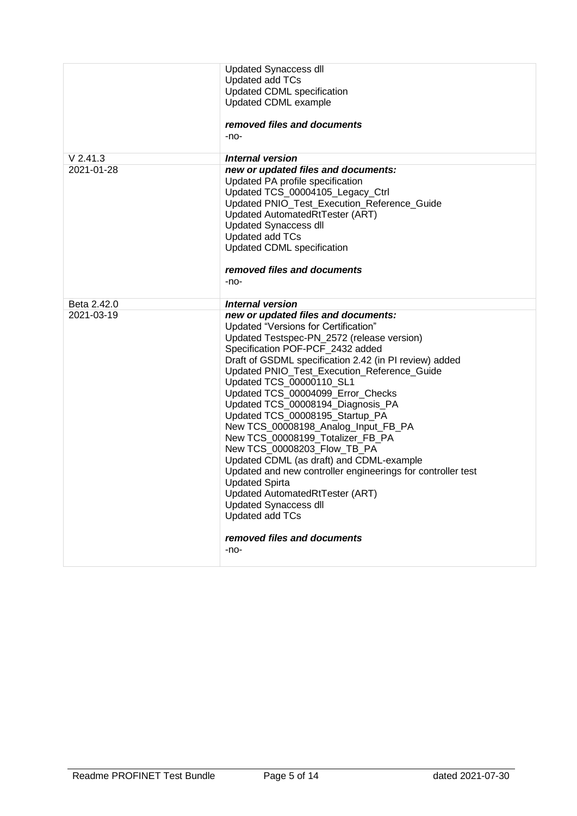|             | <b>Updated Synaccess dll</b><br>Updated add TCs<br>Updated CDML specification<br>Updated CDML example<br>removed files and documents<br>$-no-$                                                                                                                                                                                                                                                                                                                                                                                                                                                                                                                                                                                                                                               |
|-------------|----------------------------------------------------------------------------------------------------------------------------------------------------------------------------------------------------------------------------------------------------------------------------------------------------------------------------------------------------------------------------------------------------------------------------------------------------------------------------------------------------------------------------------------------------------------------------------------------------------------------------------------------------------------------------------------------------------------------------------------------------------------------------------------------|
| $V$ 2.41.3  | Internal version                                                                                                                                                                                                                                                                                                                                                                                                                                                                                                                                                                                                                                                                                                                                                                             |
| 2021-01-28  | new or updated files and documents:<br>Updated PA profile specification<br>Updated TCS_00004105_Legacy_Ctrl<br>Updated PNIO_Test_Execution_Reference_Guide<br>Updated AutomatedRtTester (ART)<br><b>Updated Synaccess dll</b><br>Updated add TCs<br>Updated CDML specification<br>removed files and documents<br>$-no-$                                                                                                                                                                                                                                                                                                                                                                                                                                                                      |
| Beta 2.42.0 | Internal version                                                                                                                                                                                                                                                                                                                                                                                                                                                                                                                                                                                                                                                                                                                                                                             |
| 2021-03-19  | new or updated files and documents:<br>Updated "Versions for Certification"<br>Updated Testspec-PN_2572 (release version)<br>Specification POF-PCF 2432 added<br>Draft of GSDML specification 2.42 (in PI review) added<br>Updated PNIO_Test_Execution_Reference_Guide<br>Updated TCS_00000110_SL1<br>Updated TCS 00004099 Error Checks<br>Updated TCS_00008194_Diagnosis_PA<br>Updated TCS_00008195_Startup_PA<br>New TCS_00008198_Analog_Input_FB_PA<br>New TCS_00008199_Totalizer_FB_PA<br>New TCS_00008203_Flow_TB_PA<br>Updated CDML (as draft) and CDML-example<br>Updated and new controller engineerings for controller test<br><b>Updated Spirta</b><br>Updated AutomatedRtTester (ART)<br><b>Updated Synaccess dll</b><br>Updated add TCs<br>removed files and documents<br>$-no-$ |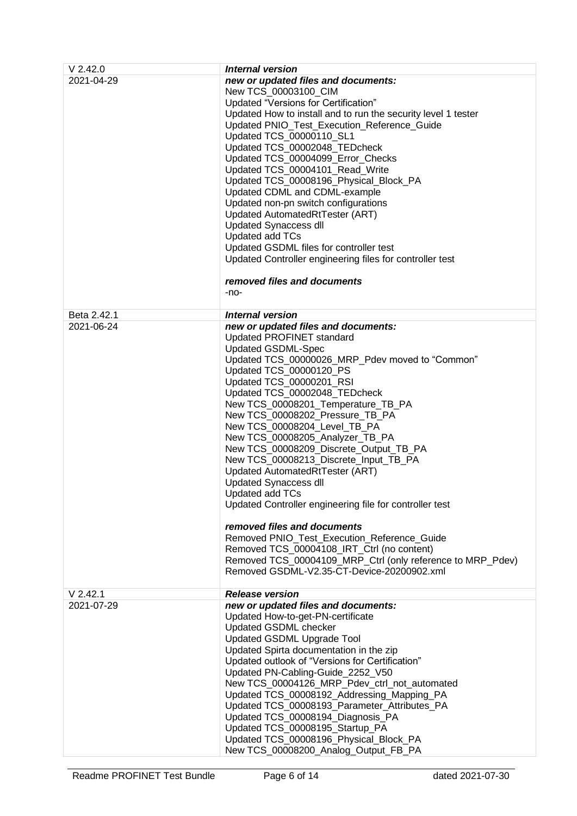| $V$ 2.42.0  | <b>Internal version</b>                                                                    |
|-------------|--------------------------------------------------------------------------------------------|
| 2021-04-29  | new or updated files and documents:                                                        |
|             | New TCS 00003100 CIM                                                                       |
|             | Updated "Versions for Certification"                                                       |
|             | Updated How to install and to run the security level 1 tester                              |
|             | Updated PNIO_Test_Execution_Reference_Guide                                                |
|             | Updated TCS_00000110_SL1                                                                   |
|             | Updated TCS_00002048_TEDcheck                                                              |
|             | Updated TCS_00004099_Error_Checks                                                          |
|             | Updated TCS_00004101_Read_Write<br>Updated TCS_00008196_Physical_Block_PA                  |
|             | Updated CDML and CDML-example                                                              |
|             | Updated non-pn switch configurations                                                       |
|             | Updated AutomatedRtTester (ART)                                                            |
|             | <b>Updated Synaccess dll</b>                                                               |
|             | Updated add TCs                                                                            |
|             | Updated GSDML files for controller test                                                    |
|             | Updated Controller engineering files for controller test                                   |
|             | removed files and documents                                                                |
|             | -no-                                                                                       |
| Beta 2.42.1 | <b>Internal version</b>                                                                    |
| 2021-06-24  | new or updated files and documents:                                                        |
|             | <b>Updated PROFINET standard</b>                                                           |
|             | <b>Updated GSDML-Spec</b>                                                                  |
|             | Updated TCS_00000026_MRP_Pdev moved to "Common"                                            |
|             | Updated TCS_00000120_PS<br>Updated TCS_00000201_RSI                                        |
|             | Updated TCS_00002048_TEDcheck                                                              |
|             | New TCS_00008201_Temperature_TB_PA                                                         |
|             | New TCS_00008202_Pressure_TB_PA                                                            |
|             | New TCS_00008204_Level_TB_PA                                                               |
|             | New TCS_00008205_Analyzer_TB_PA                                                            |
|             | New TCS_00008209_Discrete_Output_TB_PA                                                     |
|             | New TCS_00008213_Discrete_Input_TB_PA                                                      |
|             | Updated AutomatedRtTester (ART)                                                            |
|             | <b>Updated Synaccess dll</b>                                                               |
|             | Updated add TCs<br>Updated Controller engineering file for controller test                 |
|             |                                                                                            |
|             | removed files and documents                                                                |
|             | Removed PNIO_Test_Execution_Reference_Guide                                                |
|             | Removed TCS_00004108_IRT_Ctrl (no content)                                                 |
|             | Removed TCS_00004109_MRP_Ctrl (only reference to MRP_Pdev)                                 |
|             | Removed GSDML-V2.35-CT-Device-20200902.xml                                                 |
| $V$ 2.42.1  | <b>Release version</b>                                                                     |
| 2021-07-29  | new or updated files and documents:                                                        |
|             | Updated How-to-get-PN-certificate                                                          |
|             | Updated GSDML checker                                                                      |
|             | Updated GSDML Upgrade Tool                                                                 |
|             | Updated Spirta documentation in the zip<br>Updated outlook of "Versions for Certification" |
|             | Updated PN-Cabling-Guide_2252_V50                                                          |
|             | New TCS_00004126_MRP_Pdev_ctrl_not_automated                                               |
|             | Updated TCS_00008192_Addressing_Mapping_PA                                                 |
|             | Updated TCS_00008193_Parameter_Attributes_PA                                               |
|             | Updated TCS_00008194_Diagnosis_PA                                                          |
|             | Updated TCS_00008195_Startup_PA                                                            |
|             | Updated TCS_00008196_Physical_Block_PA                                                     |
|             | New TCS_00008200_Analog_Output_FB_PA                                                       |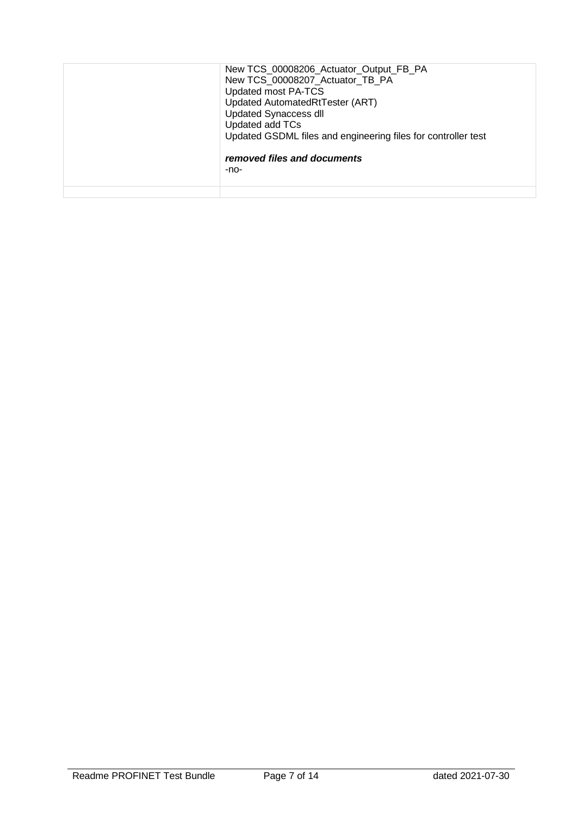| New TCS_00008206_Actuator_Output_FB_PA<br>New TCS 00008207 Actuator TB PA<br>Updated most PA-TCS<br>Updated AutomatedRtTester (ART)<br><b>Updated Synaccess dll</b><br>Updated add TCs<br>Updated GSDML files and engineering files for controller test<br>removed files and documents<br>-no- |
|------------------------------------------------------------------------------------------------------------------------------------------------------------------------------------------------------------------------------------------------------------------------------------------------|
|                                                                                                                                                                                                                                                                                                |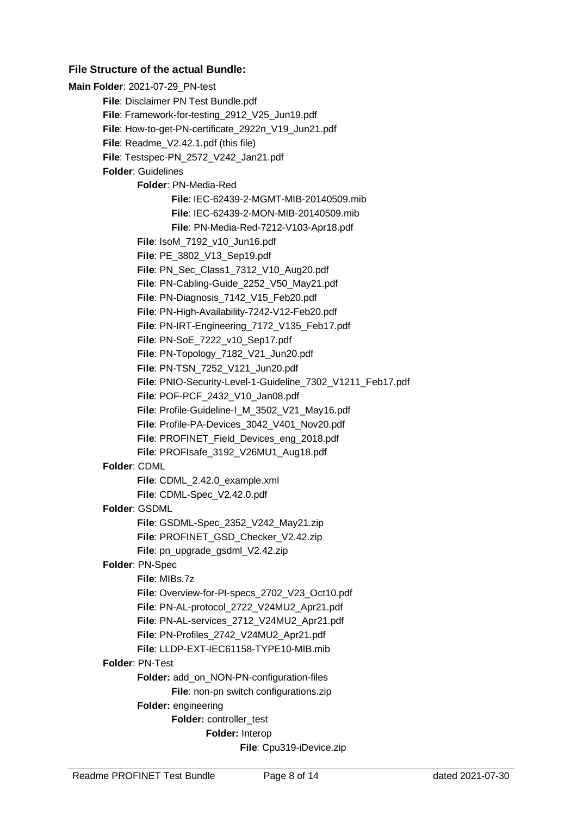# **File Structure of the actual Bundle:**

**Main Folder**: 2021-07-29\_PN-test **File**: Disclaimer PN Test Bundle.pdf **File**: Framework-for-testing\_2912\_V25\_Jun19.pdf **File**: How-to-get-PN-certificate\_2922n\_V19\_Jun21.pdf **File**: Readme\_V2.42.1.pdf (this file) **File**: Testspec-PN\_2572\_V242\_Jan21.pdf **Folder**: Guidelines **Folder**: PN-Media-Red **File**: IEC-62439-2-MGMT-MIB-20140509.mib **File**: IEC-62439-2-MON-MIB-20140509.mib **File**: PN-Media-Red-7212-V103-Apr18.pdf **File**: IsoM\_7192\_v10\_Jun16.pdf **File**: PE\_3802\_V13\_Sep19.pdf **File**: PN\_Sec\_Class1\_7312\_V10\_Aug20.pdf **File**: PN-Cabling-Guide\_2252\_V50\_May21.pdf File: PN-Diagnosis\_7142\_V15\_Feb20.pdf **File**: PN-High-Availability-7242-V12-Feb20.pdf **File**: PN-IRT-Engineering\_7172\_V135\_Feb17.pdf **File**: PN-SoE\_7222\_v10\_Sep17.pdf **File**: PN-Topology\_7182\_V21\_Jun20.pdf **File**: PN-TSN\_7252\_V121\_Jun20.pdf **File**: PNIO-Security-Level-1-Guideline\_7302\_V1211\_Feb17.pdf **File**: POF-PCF\_2432\_V10\_Jan08.pdf **File**: Profile-Guideline-I\_M\_3502\_V21\_May16.pdf **File**: Profile-PA-Devices\_3042\_V401\_Nov20.pdf **File**: PROFINET\_Field\_Devices\_eng\_2018.pdf **File**: PROFIsafe\_3192\_V26MU1\_Aug18.pdf **Folder**: CDML **File**: CDML\_2.42.0\_example.xml **File**: CDML-Spec\_V2.42.0.pdf **Folder**: GSDML **File**: GSDML-Spec\_2352\_V242\_May21.zip File: PROFINET\_GSD\_Checker\_V2.42.zip **File**: pn\_upgrade\_gsdml\_V2.42.zip **Folder**: PN-Spec **File**: MIBs.7z **File**: Overview-for-PI-specs\_2702\_V23\_Oct10.pdf **File**: PN-AL-protocol\_2722\_V24MU2\_Apr21.pdf **File**: PN-AL-services\_2712\_V24MU2\_Apr21.pdf **File**: PN-Profiles\_2742\_V24MU2\_Apr21.pdf **File**: LLDP-EXT-IEC61158-TYPE10-MIB.mib **Folder**: PN-Test **Folder:** add\_on\_NON-PN-configuration-files **File**: non-pn switch configurations.zip **Folder:** engineering **Folder:** controller\_test **Folder:** Interop **File**: Cpu319-iDevice.zip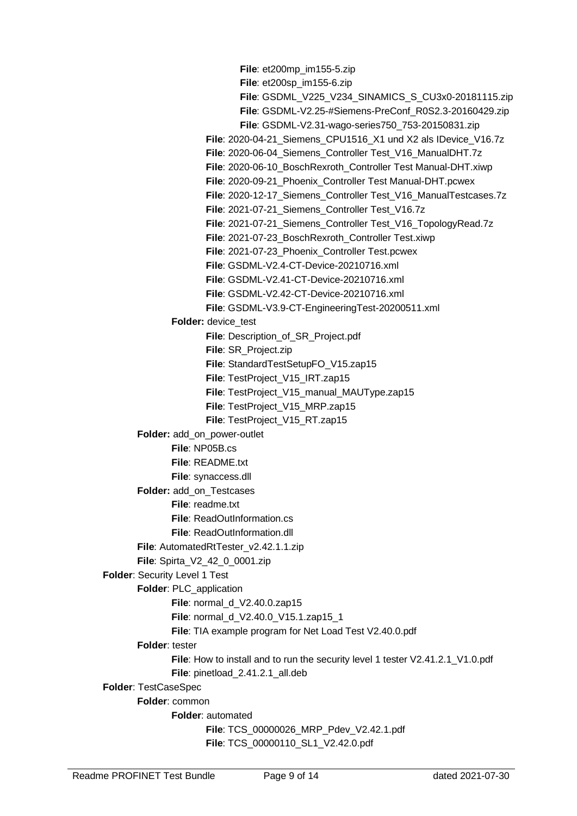**File**: et200mp\_im155-5.zip **File**: et200sp\_im155-6.zip **File**: GSDML\_V225\_V234\_SINAMICS\_S\_CU3x0-20181115.zip **File**: GSDML-V2.25-#Siemens-PreConf\_R0S2.3-20160429.zip **File**: GSDML-V2.31-wago-series750\_753-20150831.zip **File**: 2020-04-21\_Siemens\_CPU1516\_X1 und X2 als IDevice\_V16.7z **File**: 2020-06-04\_Siemens\_Controller Test\_V16\_ManualDHT.7z **File**: 2020-06-10\_BoschRexroth\_Controller Test Manual-DHT.xiwp **File**: 2020-09-21\_Phoenix\_Controller Test Manual-DHT.pcwex **File**: 2020-12-17\_Siemens\_Controller Test\_V16\_ManualTestcases.7z **File**: 2021-07-21\_Siemens\_Controller Test\_V16.7z **File**: 2021-07-21\_Siemens\_Controller Test\_V16\_TopologyRead.7z **File**: 2021-07-23\_BoschRexroth\_Controller Test.xiwp **File**: 2021-07-23\_Phoenix\_Controller Test.pcwex **File**: GSDML-V2.4-CT-Device-20210716.xml **File**: GSDML-V2.41-CT-Device-20210716.xml **File**: GSDML-V2.42-CT-Device-20210716.xml **File**: GSDML-V3.9-CT-EngineeringTest-20200511.xml **Folder:** device\_test File: Description\_of\_SR\_Project.pdf **File**: SR\_Project.zip **File**: StandardTestSetupFO\_V15.zap15 **File**: TestProject V15 IRT.zap15 **File**: TestProject V15 manual MAUType.zap15 **File**: TestProject\_V15\_MRP.zap15 **File**: TestProject V15 RT.zap15 **Folder:** add\_on\_power-outlet **File**: NP05B.cs **File**: README.txt **File**: synaccess.dll **Folder:** add\_on\_Testcases **File**: readme.txt **File**: ReadOutInformation.cs **File**: ReadOutInformation.dll **File**: AutomatedRtTester\_v2.42.1.1.zip **File**: Spirta\_V2\_42\_0\_0001.zip **Folder**: Security Level 1 Test **Folder**: PLC\_application **File**: normal d V2.40.0.zap15 **File**: normal\_d\_V2.40.0\_V15.1.zap15\_1 **File**: TIA example program for Net Load Test V2.40.0.pdf **Folder**: tester File: How to install and to run the security level 1 tester V2.41.2.1\_V1.0.pdf **File**: pinetload\_2.41.2.1\_all.deb **Folder**: TestCaseSpec **Folder**: common **Folder**: automated **File**: TCS\_00000026\_MRP\_Pdev\_V2.42.1.pdf **File**: TCS\_00000110\_SL1\_V2.42.0.pdf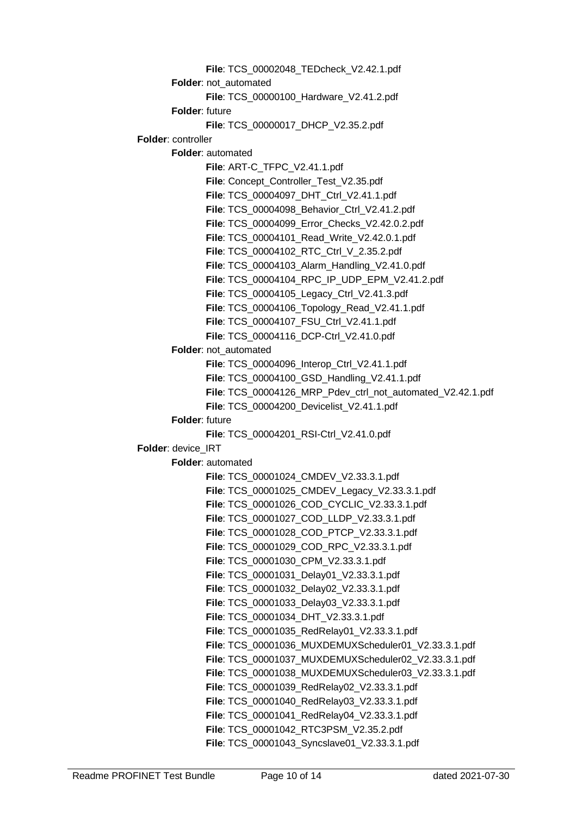**File**: TCS\_00002048\_TEDcheck\_V2.42.1.pdf **Folder**: not\_automated **File**: TCS\_00000100\_Hardware\_V2.41.2.pdf **Folder**: future **File**: TCS\_00000017\_DHCP\_V2.35.2.pdf **Folder**: controller **Folder**: automated **File**: ART-C\_TFPC\_V2.41.1.pdf **File**: Concept\_Controller\_Test\_V2.35.pdf **File**: TCS\_00004097\_DHT\_Ctrl\_V2.41.1.pdf **File**: TCS\_00004098\_Behavior\_Ctrl\_V2.41.2.pdf **File**: TCS\_00004099\_Error\_Checks\_V2.42.0.2.pdf **File**: TCS\_00004101\_Read\_Write\_V2.42.0.1.pdf **File**: TCS\_00004102\_RTC\_Ctrl\_V\_2.35.2.pdf **File**: TCS\_00004103\_Alarm\_Handling\_V2.41.0.pdf **File**: TCS\_00004104\_RPC\_IP\_UDP\_EPM\_V2.41.2.pdf **File**: TCS\_00004105\_Legacy\_Ctrl\_V2.41.3.pdf **File**: TCS\_00004106\_Topology\_Read\_V2.41.1.pdf **File**: TCS\_00004107\_FSU\_Ctrl\_V2.41.1.pdf **File**: TCS\_00004116\_DCP-Ctrl\_V2.41.0.pdf **Folder:** not\_automated **File**: TCS\_00004096\_Interop\_Ctrl\_V2.41.1.pdf **File**: TCS\_00004100\_GSD\_Handling\_V2.41.1.pdf **File**: TCS\_00004126\_MRP\_Pdev\_ctrl\_not\_automated\_V2.42.1.pdf **File**: TCS\_00004200\_Devicelist\_V2.41.1.pdf **Folder**: future **File**: TCS\_00004201\_RSI-Ctrl\_V2.41.0.pdf **Folder**: device\_IRT **Folder**: automated **File**: TCS\_00001024\_CMDEV\_V2.33.3.1.pdf **File**: TCS\_00001025\_CMDEV\_Legacy\_V2.33.3.1.pdf **File**: TCS\_00001026\_COD\_CYCLIC\_V2.33.3.1.pdf **File**: TCS\_00001027\_COD\_LLDP\_V2.33.3.1.pdf **File**: TCS\_00001028\_COD\_PTCP\_V2.33.3.1.pdf **File**: TCS\_00001029\_COD\_RPC\_V2.33.3.1.pdf **File**: TCS\_00001030\_CPM\_V2.33.3.1.pdf **File**: TCS\_00001031\_Delay01\_V2.33.3.1.pdf **File**: TCS\_00001032\_Delay02\_V2.33.3.1.pdf **File**: TCS\_00001033\_Delay03\_V2.33.3.1.pdf **File**: TCS\_00001034\_DHT\_V2.33.3.1.pdf **File**: TCS\_00001035\_RedRelay01\_V2.33.3.1.pdf **File**: TCS\_00001036\_MUXDEMUXScheduler01\_V2.33.3.1.pdf **File**: TCS\_00001037\_MUXDEMUXScheduler02\_V2.33.3.1.pdf **File**: TCS\_00001038\_MUXDEMUXScheduler03\_V2.33.3.1.pdf **File**: TCS\_00001039\_RedRelay02\_V2.33.3.1.pdf **File**: TCS\_00001040\_RedRelay03\_V2.33.3.1.pdf **File**: TCS\_00001041\_RedRelay04\_V2.33.3.1.pdf **File**: TCS\_00001042\_RTC3PSM\_V2.35.2.pdf **File**: TCS\_00001043\_Syncslave01\_V2.33.3.1.pdf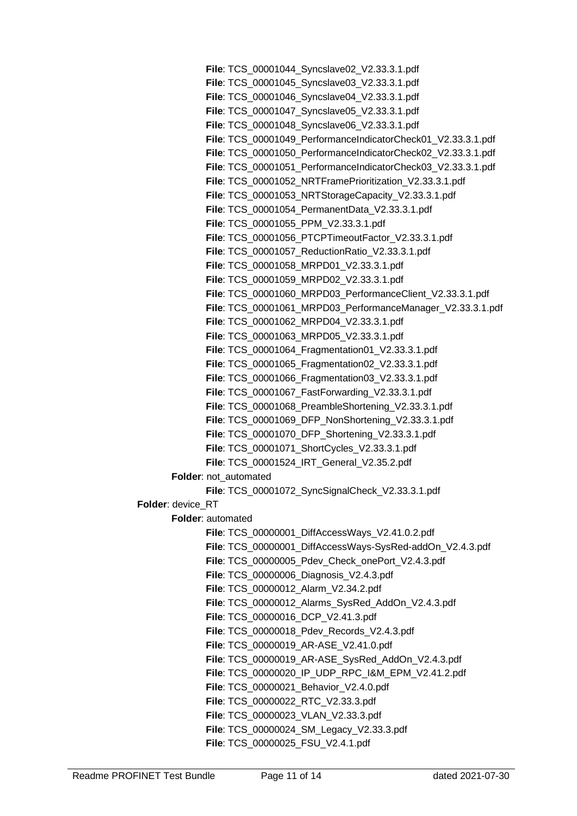**File**: TCS\_00001044\_Syncslave02\_V2.33.3.1.pdf **File**: TCS\_00001045\_Syncslave03\_V2.33.3.1.pdf **File**: TCS\_00001046\_Syncslave04\_V2.33.3.1.pdf **File**: TCS\_00001047\_Syncslave05\_V2.33.3.1.pdf **File**: TCS\_00001048\_Syncslave06\_V2.33.3.1.pdf **File**: TCS\_00001049\_PerformanceIndicatorCheck01\_V2.33.3.1.pdf **File**: TCS\_00001050\_PerformanceIndicatorCheck02\_V2.33.3.1.pdf **File**: TCS\_00001051\_PerformanceIndicatorCheck03\_V2.33.3.1.pdf **File**: TCS\_00001052\_NRTFramePrioritization\_V2.33.3.1.pdf **File**: TCS\_00001053\_NRTStorageCapacity\_V2.33.3.1.pdf **File**: TCS\_00001054\_PermanentData\_V2.33.3.1.pdf **File**: TCS\_00001055\_PPM\_V2.33.3.1.pdf **File**: TCS\_00001056\_PTCPTimeoutFactor\_V2.33.3.1.pdf **File**: TCS\_00001057\_ReductionRatio\_V2.33.3.1.pdf **File**: TCS\_00001058\_MRPD01\_V2.33.3.1.pdf **File**: TCS\_00001059\_MRPD02\_V2.33.3.1.pdf **File**: TCS\_00001060\_MRPD03\_PerformanceClient\_V2.33.3.1.pdf **File**: TCS\_00001061\_MRPD03\_PerformanceManager\_V2.33.3.1.pdf **File**: TCS\_00001062\_MRPD04\_V2.33.3.1.pdf **File**: TCS\_00001063\_MRPD05\_V2.33.3.1.pdf **File**: TCS\_00001064\_Fragmentation01\_V2.33.3.1.pdf **File**: TCS\_00001065\_Fragmentation02\_V2.33.3.1.pdf **File**: TCS\_00001066\_Fragmentation03\_V2.33.3.1.pdf **File**: TCS\_00001067\_FastForwarding\_V2.33.3.1.pdf **File**: TCS\_00001068\_PreambleShortening\_V2.33.3.1.pdf **File**: TCS\_00001069\_DFP\_NonShortening\_V2.33.3.1.pdf **File**: TCS\_00001070\_DFP\_Shortening\_V2.33.3.1.pdf **File**: TCS\_00001071\_ShortCycles\_V2.33.3.1.pdf **File**: TCS\_00001524\_IRT\_General\_V2.35.2.pdf **Folder:** not\_automated **File**: TCS\_00001072\_SyncSignalCheck\_V2.33.3.1.pdf **Folder**: device\_RT **Folder**: automated **File**: TCS\_00000001\_DiffAccessWays\_V2.41.0.2.pdf **File**: TCS\_00000001\_DiffAccessWays-SysRed-addOn\_V2.4.3.pdf File: TCS\_00000005\_Pdev\_Check\_onePort\_V2.4.3.pdf **File**: TCS\_00000006\_Diagnosis\_V2.4.3.pdf **File**: TCS\_00000012\_Alarm\_V2.34.2.pdf **File**: TCS\_00000012\_Alarms\_SysRed\_AddOn\_V2.4.3.pdf **File**: TCS\_00000016\_DCP\_V2.41.3.pdf **File**: TCS\_00000018\_Pdev\_Records\_V2.4.3.pdf **File**: TCS\_00000019\_AR-ASE\_V2.41.0.pdf **File**: TCS\_00000019\_AR-ASE\_SysRed\_AddOn\_V2.4.3.pdf **File**: TCS\_00000020\_IP\_UDP\_RPC\_I&M\_EPM\_V2.41.2.pdf **File**: TCS\_00000021\_Behavior\_V2.4.0.pdf **File**: TCS\_00000022\_RTC\_V2.33.3.pdf **File**: TCS\_00000023\_VLAN\_V2.33.3.pdf **File**: TCS\_00000024\_SM\_Legacy\_V2.33.3.pdf **File**: TCS\_00000025\_FSU\_V2.4.1.pdf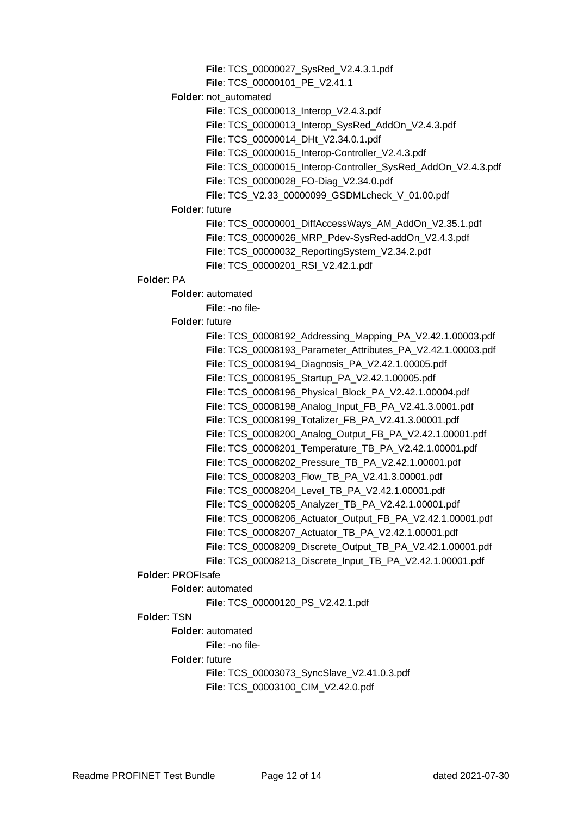**File**: TCS\_00000027\_SysRed\_V2.4.3.1.pdf

**File**: TCS\_00000101\_PE\_V2.41.1

**Folder**: not\_automated

**File**: TCS\_00000013\_Interop\_V2.4.3.pdf

**File**: TCS\_00000013\_Interop\_SysRed\_AddOn\_V2.4.3.pdf

**File**: TCS\_00000014\_DHt\_V2.34.0.1.pdf

**File**: TCS\_00000015\_Interop-Controller\_V2.4.3.pdf

**File**: TCS\_00000015\_Interop-Controller\_SysRed\_AddOn\_V2.4.3.pdf

**File**: TCS\_00000028\_FO-Diag\_V2.34.0.pdf

**File**: TCS\_V2.33\_00000099\_GSDMLcheck\_V\_01.00.pdf

# **Folder**: future

**File**: TCS\_00000001\_DiffAccessWays\_AM\_AddOn\_V2.35.1.pdf **File**: TCS\_00000026\_MRP\_Pdev-SysRed-addOn\_V2.4.3.pdf

**File**: TCS\_00000032\_ReportingSystem\_V2.34.2.pdf

**File**: TCS\_00000201\_RSI\_V2.42.1.pdf

### **Folder**: PA

**Folder**: automated

**File**: -no file-

**Folder**: future

**File**: TCS\_00008192\_Addressing\_Mapping\_PA\_V2.42.1.00003.pdf **File**: TCS\_00008193\_Parameter\_Attributes\_PA\_V2.42.1.00003.pdf **File**: TCS\_00008194\_Diagnosis\_PA\_V2.42.1.00005.pdf **File**: TCS\_00008195\_Startup\_PA\_V2.42.1.00005.pdf **File**: TCS\_00008196\_Physical\_Block\_PA\_V2.42.1.00004.pdf **File**: TCS\_00008198\_Analog\_Input\_FB\_PA\_V2.41.3.0001.pdf **File**: TCS\_00008199\_Totalizer\_FB\_PA\_V2.41.3.00001.pdf **File**: TCS\_00008200\_Analog\_Output\_FB\_PA\_V2.42.1.00001.pdf **File**: TCS\_00008201\_Temperature\_TB\_PA\_V2.42.1.00001.pdf **File**: TCS\_00008202\_Pressure\_TB\_PA\_V2.42.1.00001.pdf **File**: TCS\_00008203\_Flow\_TB\_PA\_V2.41.3.00001.pdf **File**: TCS\_00008204\_Level\_TB\_PA\_V2.42.1.00001.pdf **File**: TCS\_00008205\_Analyzer\_TB\_PA\_V2.42.1.00001.pdf **File**: TCS\_00008206\_Actuator\_Output\_FB\_PA\_V2.42.1.00001.pdf **File**: TCS\_00008207\_Actuator\_TB\_PA\_V2.42.1.00001.pdf **File**: TCS\_00008209\_Discrete\_Output\_TB\_PA\_V2.42.1.00001.pdf **File**: TCS\_00008213\_Discrete\_Input\_TB\_PA\_V2.42.1.00001.pdf

# **Folder**: PROFIsafe

**Folder**: automated

**File**: TCS\_00000120\_PS\_V2.42.1.pdf

# **Folder**: TSN

**Folder**: automated

**File**: -no file-

**Folder**: future

**File**: TCS\_00003073\_SyncSlave\_V2.41.0.3.pdf **File**: TCS\_00003100\_CIM\_V2.42.0.pdf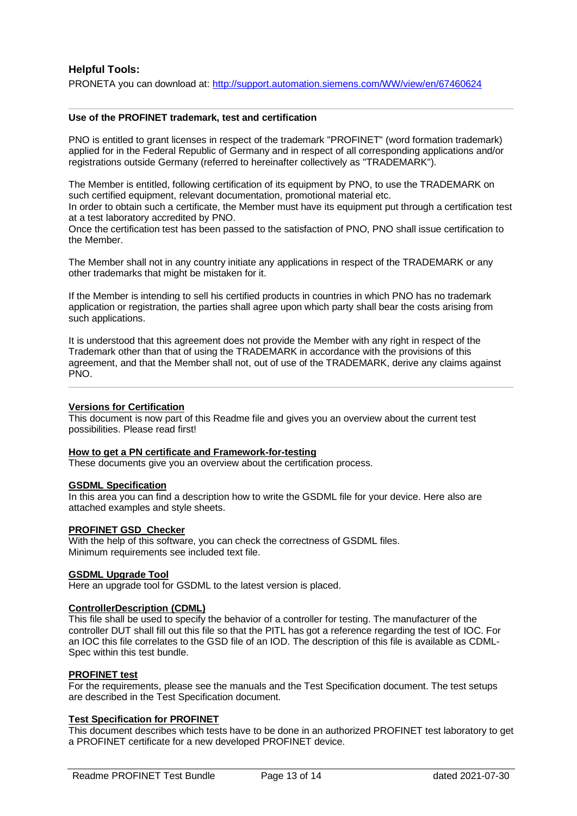### **Helpful Tools:**

PRONETA you can download at:<http://support.automation.siemens.com/WW/view/en/67460624>

#### **Use of the PROFINET trademark, test and certification**

PNO is entitled to grant licenses in respect of the trademark "PROFINET" (word formation trademark) applied for in the Federal Republic of Germany and in respect of all corresponding applications and/or registrations outside Germany (referred to hereinafter collectively as "TRADEMARK").

The Member is entitled, following certification of its equipment by PNO, to use the TRADEMARK on such certified equipment, relevant documentation, promotional material etc.

In order to obtain such a certificate, the Member must have its equipment put through a certification test at a test laboratory accredited by PNO.

Once the certification test has been passed to the satisfaction of PNO, PNO shall issue certification to the Member.

The Member shall not in any country initiate any applications in respect of the TRADEMARK or any other trademarks that might be mistaken for it.

If the Member is intending to sell his certified products in countries in which PNO has no trademark application or registration, the parties shall agree upon which party shall bear the costs arising from such applications.

It is understood that this agreement does not provide the Member with any right in respect of the Trademark other than that of using the TRADEMARK in accordance with the provisions of this agreement, and that the Member shall not, out of use of the TRADEMARK, derive any claims against PNO.

#### **Versions for Certification**

This document is now part of this Readme file and gives you an overview about the current test possibilities. Please read first!

#### **How to get a PN certificate and Framework-for-testing**

These documents give you an overview about the certification process.

#### **GSDML Specification**

In this area you can find a description how to write the GSDML file for your device. Here also are attached examples and style sheets.

#### **PROFINET GSD\_Checker**

With the help of this software, you can check the correctness of GSDML files. Minimum requirements see included text file.

#### **GSDML Upgrade Tool**

Here an upgrade tool for GSDML to the latest version is placed.

#### **ControllerDescription (CDML)**

This file shall be used to specify the behavior of a controller for testing. The manufacturer of the controller DUT shall fill out this file so that the PITL has got a reference regarding the test of IOC. For an IOC this file correlates to the GSD file of an IOD. The description of this file is available as CDML-Spec within this test bundle.

#### **PROFINET test**

For the requirements, please see the manuals and the Test Specification document. The test setups are described in the Test Specification document.

#### **Test Specification for PROFINET**

This document describes which tests have to be done in an authorized PROFINET test laboratory to get a PROFINET certificate for a new developed PROFINET device.